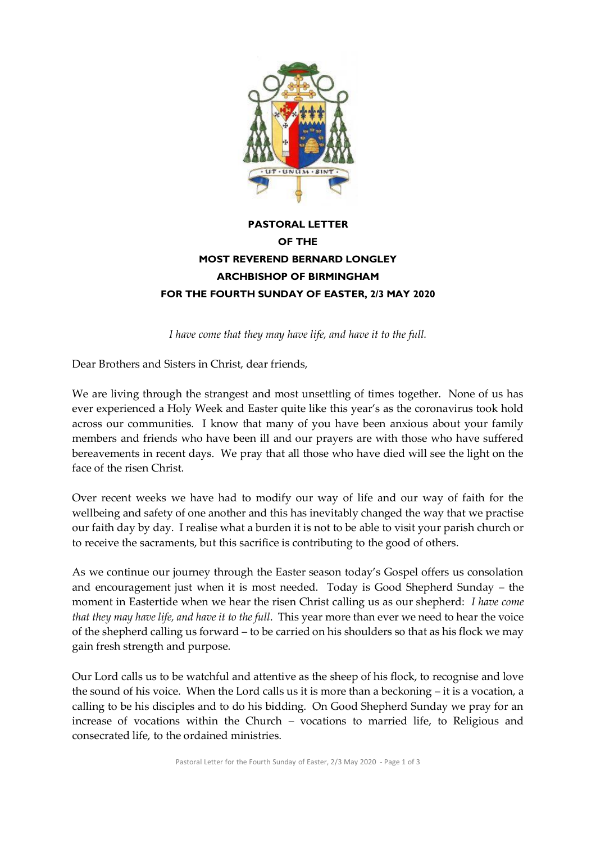

## **PASTORAL LETTER OF THE MOST REVEREND BERNARD LONGLEY ARCHBISHOP OF BIRMINGHAM FOR THE FOURTH SUNDAY OF EASTER, 2/3 MAY 2020**

*I have come that they may have life, and have it to the full.*

Dear Brothers and Sisters in Christ, dear friends,

We are living through the strangest and most unsettling of times together. None of us has ever experienced a Holy Week and Easter quite like this year's as the coronavirus took hold across our communities. I know that many of you have been anxious about your family members and friends who have been ill and our prayers are with those who have suffered bereavements in recent days. We pray that all those who have died will see the light on the face of the risen Christ.

Over recent weeks we have had to modify our way of life and our way of faith for the wellbeing and safety of one another and this has inevitably changed the way that we practise our faith day by day. I realise what a burden it is not to be able to visit your parish church or to receive the sacraments, but this sacrifice is contributing to the good of others.

As we continue our journey through the Easter season today's Gospel offers us consolation and encouragement just when it is most needed. Today is Good Shepherd Sunday – the moment in Eastertide when we hear the risen Christ calling us as our shepherd: *I have come that they may have life, and have it to the full*. This year more than ever we need to hear the voice of the shepherd calling us forward – to be carried on his shoulders so that as his flock we may gain fresh strength and purpose.

Our Lord calls us to be watchful and attentive as the sheep of his flock, to recognise and love the sound of his voice. When the Lord calls us it is more than a beckoning – it is a vocation, a calling to be his disciples and to do his bidding. On Good Shepherd Sunday we pray for an increase of vocations within the Church – vocations to married life, to Religious and consecrated life, to the ordained ministries.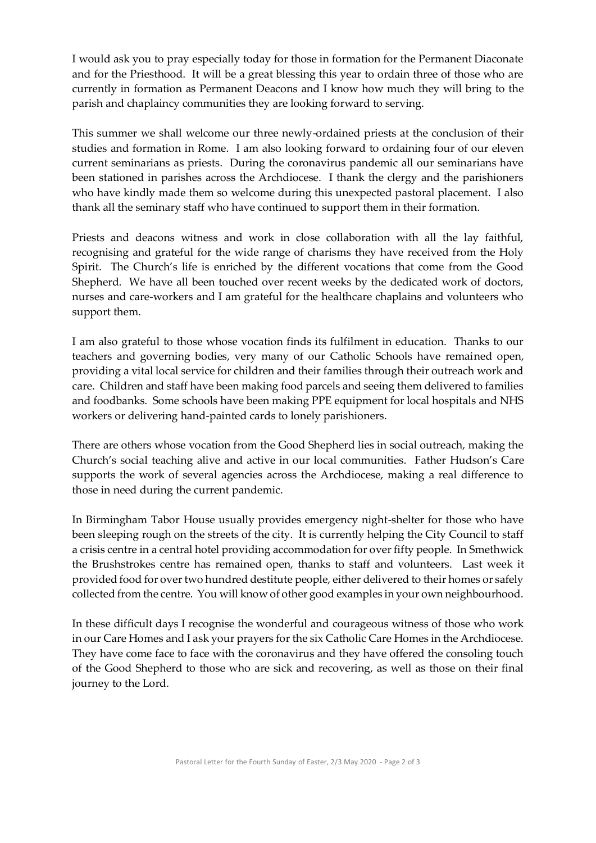I would ask you to pray especially today for those in formation for the Permanent Diaconate and for the Priesthood. It will be a great blessing this year to ordain three of those who are currently in formation as Permanent Deacons and I know how much they will bring to the parish and chaplaincy communities they are looking forward to serving.

This summer we shall welcome our three newly-ordained priests at the conclusion of their studies and formation in Rome. I am also looking forward to ordaining four of our eleven current seminarians as priests. During the coronavirus pandemic all our seminarians have been stationed in parishes across the Archdiocese. I thank the clergy and the parishioners who have kindly made them so welcome during this unexpected pastoral placement. I also thank all the seminary staff who have continued to support them in their formation.

Priests and deacons witness and work in close collaboration with all the lay faithful, recognising and grateful for the wide range of charisms they have received from the Holy Spirit. The Church's life is enriched by the different vocations that come from the Good Shepherd. We have all been touched over recent weeks by the dedicated work of doctors, nurses and care-workers and I am grateful for the healthcare chaplains and volunteers who support them.

I am also grateful to those whose vocation finds its fulfilment in education. Thanks to our teachers and governing bodies, very many of our Catholic Schools have remained open, providing a vital local service for children and their families through their outreach work and care. Children and staff have been making food parcels and seeing them delivered to families and foodbanks. Some schools have been making PPE equipment for local hospitals and NHS workers or delivering hand-painted cards to lonely parishioners.

There are others whose vocation from the Good Shepherd lies in social outreach, making the Church's social teaching alive and active in our local communities. Father Hudson's Care supports the work of several agencies across the Archdiocese, making a real difference to those in need during the current pandemic.

In Birmingham Tabor House usually provides emergency night-shelter for those who have been sleeping rough on the streets of the city. It is currently helping the City Council to staff a crisis centre in a central hotel providing accommodation for over fifty people. In Smethwick the Brushstrokes centre has remained open, thanks to staff and volunteers. Last week it provided food for over two hundred destitute people, either delivered to their homes or safely collected from the centre. You will know of other good examples in your own neighbourhood.

In these difficult days I recognise the wonderful and courageous witness of those who work in our Care Homes and I ask your prayers for the six Catholic Care Homes in the Archdiocese. They have come face to face with the coronavirus and they have offered the consoling touch of the Good Shepherd to those who are sick and recovering, as well as those on their final journey to the Lord.